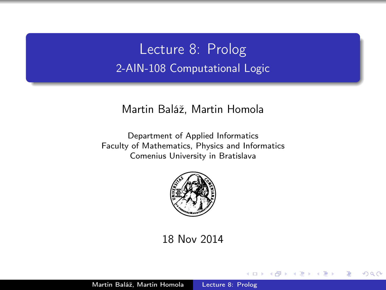<span id="page-0-0"></span>Lecture 8: Prolog 2-AIN-108 Computational Logic

#### Martin Baláž, Martin Homola

Department of Applied Informatics Faculty of Mathematics, Physics and Informatics Comenius University in Bratislava



18 Nov 2014

 $\overline{a}$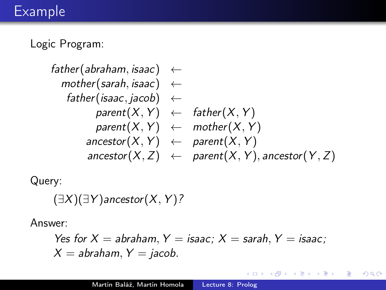## Example

Logic Program:

$$
\begin{array}{lcl} \mathit{father}(\mathit{abraham}, \mathit{isaac}) &\leftarrow\\ \mathit{mother}(\mathit{sarah}, \mathit{isaac}) &\leftarrow\\ \mathit{father}(\mathit{isaac}, \mathit{jacob}) &\leftarrow\\ \mathit{parent}(X, Y) &\leftarrow\mathit{father}(X, Y)\\ \mathit{parent}(X, Y) &\leftarrow\mathit{mother}(X, Y)\\ \mathit{ancestor}(X, Y) &\leftarrow\mathit{parent}(X, Y)\\ \mathit{ancestor}(X, Z) &\leftarrow\mathit{parent}(X, Y), \mathit{ancestor}(Y, Z) \end{array}
$$

Query:

$$
(\exists X)(\exists Y) \text{ancestor}(X, Y)?
$$

Answer:

Yes for 
$$
X = abraham
$$
,  $Y = isaac$ ;  $X = sarah$ ,  $Y = isaac$ ;  $X = abraham$ ,  $Y = jacob$ .

 $\leftarrow$ 

 $\,$ × 同  $\,$   $\,$ ≣ ×,  $\,$ 

× D. Þ

ă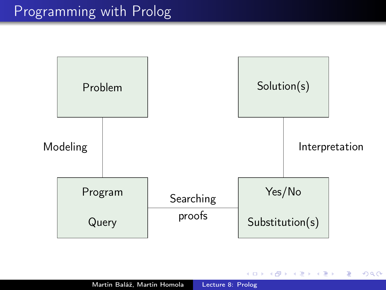

4日)

**K 伊 ▶ → 手** 

 $\sim$ э  $\,$ ×.

Ε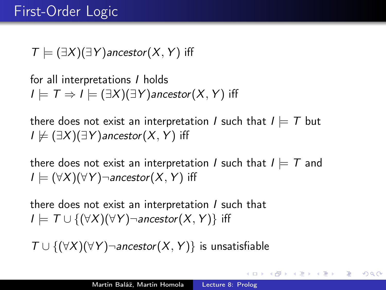## First-Order Logic

 $T \models (\exists X)(\exists Y)$ ancestor $(X, Y)$  iff

for all interpretations I holds  $I \models T \Rightarrow I \models (\exists X)(\exists Y)$  ancestor  $(X, Y)$  if f

there does not exist an interpretation *I* such that  $I \models T$  but  $I \not\models (\exists X)(\exists Y)$ ancestor $(X, Y)$  iff

there does not exist an interpretation I such that  $I \models T$  and  $I \models (\forall X)(\forall Y)$ ¬ancestor $(X, Y)$  iff

there does not exist an interpretation  $I$  such that  $I \models \top \cup \{(\forall X)(\forall Y) \neg$ ancestor $(X, Y) \}$  iff

 $T \cup \{(\forall X)(\forall Y) \neg$ ancestor $(X, Y)\}$  is unsatisfiable

押り メミメ メミメー

 $\Omega$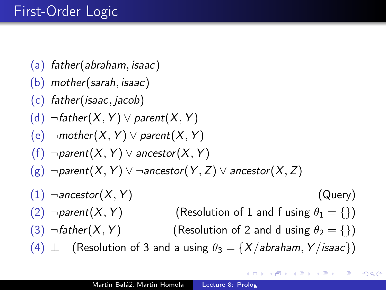# First-Order Logic

- <span id="page-4-5"></span>(a) father(abraham, isaac)
- (b) mother(sarah, isaac)
- (c) father(isaac, jacob)
- (d)  $\neg$ father(X, Y)  $\lor$  parent(X, Y)
- (e)  $\neg$ mother(X, Y)  $\lor$  parent(X, Y)
- (f)  $\neg parent(X, Y) \vee ancestor(X, Y)$
- $(g)$   $\neg$ parent $(X, Y)$   $\vee$   $\neg$ ancestor $(Y, Z)$   $\vee$  ancestor $(X, Z)$
- <span id="page-4-4"></span><span id="page-4-2"></span><span id="page-4-0"></span> $(1)$   $\neg$  ancestor  $(X, Y)$  (Query) (2)  $\neg$ *parent*(*X*, *Y*) (Resolution of [1](#page-4-0) and [f](#page-4-1) using  $\theta_1 = \{\}\$ ) (3)  $\neg$  father(X, Y) (Resolution of [2](#page-4-2) and [d](#page-4-3) using  $\theta_2 = \{\}\)$ (4)  $\perp$  (Resolution of [3](#page-4-4) [a](#page-4-5)nd a using  $\theta_3 = \{X/abraham, Y/isaac\}$ )

<span id="page-4-3"></span><span id="page-4-1"></span>∢ 何 ▶ → ヨ ▶ → ヨ ▶ →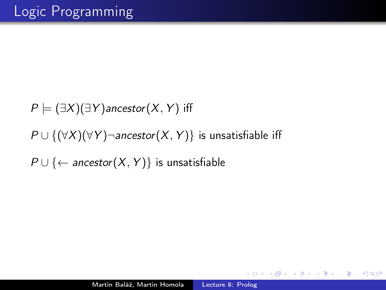$P \models (\exists X)(\exists Y)$ ancestor $(X, Y)$  iff  $P \cup \{(\forall X)(\forall Y)\}$  ancestor $(X, Y)$  is unsatisfiable iff  $P \cup \{\leftarrow$  ancestor(X, Y)} is unsatisfiable

 $2990$ 

∍

御き メミメ メミメー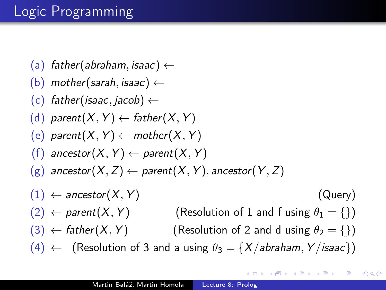# Logic Programming

- <span id="page-6-5"></span>(a) father(abraham, isaac)  $\leftarrow$
- (b) mother(sarah, isaac)  $\leftarrow$
- (c) father(isaac, jacob)  $\leftarrow$
- (d) parent $(X, Y) \leftarrow$  father $(X, Y)$
- <span id="page-6-3"></span>(e) parent $(X, Y) \leftarrow$  mother $(X, Y)$
- (f) ancestor(X, Y)  $\leftarrow$  parent(X, Y)
- $(g)$  ancestor $(X, Z) \leftarrow$  parent $(X, Y)$ , ancestor $(Y, Z)$
- <span id="page-6-4"></span><span id="page-6-2"></span><span id="page-6-0"></span> $(1) \leftarrow$  ancestor $(X, Y)$  (Query)  $(2) \leftarrow$  parent $(X, Y)$  (Resolution of [1](#page-6-0) and [f](#page-6-1) using  $\theta_1 = \{\}\$ )  $(3) \leftarrow$  father(X, Y) (Resolution of [2](#page-6-2) and [d](#page-6-3) using  $\theta_2 = \{\}\$  $(4) \leftarrow$  (Resolution of [3](#page-6-4) [a](#page-6-5)nd a using  $\theta_3 = \{X/abraham, Y/isaac\}$ )

<span id="page-6-1"></span>∢ 何 ▶ → ヨ ▶ → ヨ ▶ →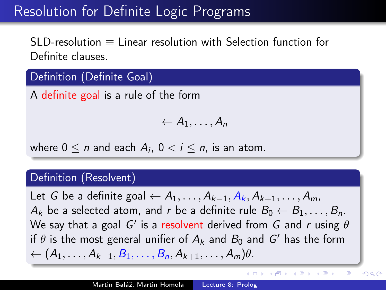## Resolution for Definite Logic Programs

SLD-resolution ≡ Linear resolution with Selection function for Definite clauses.

## Definition (Definite Goal)

A definite goal is a rule of the form

$$
\leftarrow A_1,\ldots,A_n
$$

where  $0 \leq n$  and each  $A_i$ ,  $0 < i \leq n$ , is an atom.

#### Definition (Resolvent)

Let G be a definite goal  $\leftarrow A_1, \ldots, A_{k-1}, A_k, A_{k+1}, \ldots, A_m$  $A_k$  be a selected atom, and r be a definite rule  $B_0 \leftarrow B_1, \ldots, B_n$ . We say that a goal  $G'$  is a resolvent derived from  $G$  and  $r$  using  $\theta$ if  $\theta$  is the most general unifier of  $A_k$  and  $B_0$  and  $G'$  has the form  $\leftarrow (A_1, \ldots, A_{k-1}, B_1, \ldots, B_n, A_{k+1}, \ldots, A_m) \theta.$ 

(ロ) (母) (ヨ) (

Ė

(手) ト

 $QQ$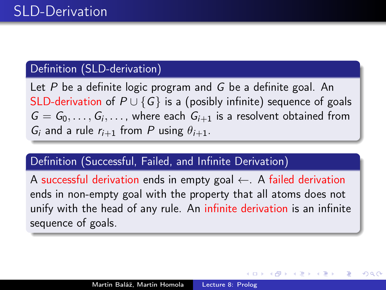### Definition (SLD-derivation)

Let P be a definite logic program and G be a definite goal. An SLD-derivation of  $P \cup \{G\}$  is a (posibly infinite) sequence of goals  $G = G_0, \ldots, G_i, \ldots$ , where each  $G_{i+1}$  is a resolvent obtained from  $G_i$  and a rule  $r_{i+1}$  from P using  $\theta_{i+1}$ .

#### Definition (Successful, Failed, and Infinite Derivation)

A successful derivation ends in empty goal  $\leftarrow$ . A failed derivation ends in non-empty goal with the property that all atoms does not unify with the head of any rule. An infinite derivation is an infinite sequence of goals.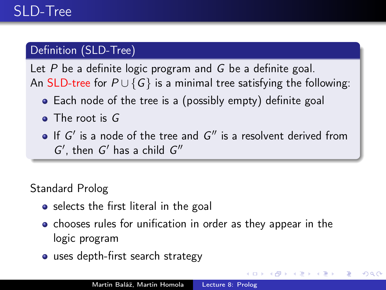## Definition (SLD-Tree)

Let  $P$  be a definite logic program and  $G$  be a definite goal. An SLD-tree for  $P \cup \{G\}$  is a minimal tree satisfying the following:

- Each node of the tree is a (possibly empty) definite goal
- The root is G
- If  $G'$  is a node of the tree and  $G''$  is a resolvent derived from  $G'$ , then  $G'$  has a child  $G''$

## Standard Prolog

- selects the first literal in the goal
- chooses rules for unification in order as they appear in the logic program

つくい

• uses depth-first search strategy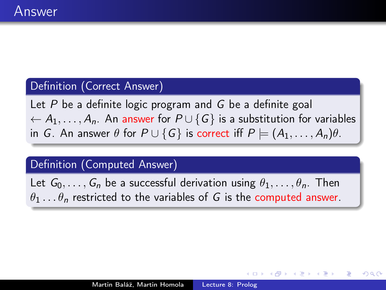#### Definition (Correct Answer)

Let  $P$  be a definite logic program and  $G$  be a definite goal  $\leftarrow A_1, \ldots, A_n$ . An answer for  $P \cup \{G\}$  is a substitution for variables in G. An answer  $\theta$  for  $P \cup \{G\}$  is correct iff  $P \models (A_1, \ldots, A_n)\theta$ .

#### Definition (Computed Answer)

Let  $G_0, \ldots, G_n$  be a successful derivation using  $\theta_1, \ldots, \theta_n$ . Then  $\theta_1 \dots \theta_n$  restricted to the variables of G is the computed answer.

つくへ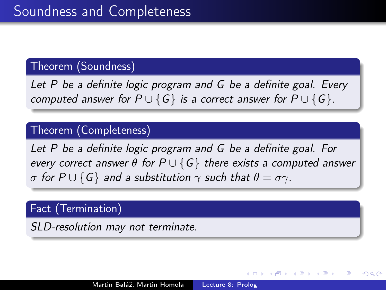### Theorem (Soundness)

Let P be a definite logic program and G be a definite goal. Every computed answer for  $P \cup \{G\}$  is a correct answer for  $P \cup \{G\}$ .

#### Theorem (Completeness)

Let P be a definite logic program and G be a definite goal. For every correct answer  $\theta$  for  $P \cup \{G\}$  there exists a computed answer σ for  $P \cup \{G\}$  and a substitution  $\gamma$  such that  $\theta = \sigma \gamma$ .

#### Fact (Termination)

SLD-resolution may not terminate.

つくへ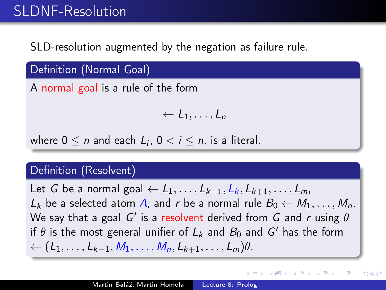## SLDNF-Resolution

SLD-resolution augmented by the negation as failure rule.

Definition (Normal Goal)

A normal goal is a rule of the form

$$
\leftarrow L_1, \ldots, L_n
$$

where  $0 \leq n$  and each  $L_i$ ,  $0 < i \leq n$ , is a literal.

#### Definition (Resolvent)

Let G be a normal goal  $\leftarrow L_1, \ldots, L_{k-1}, L_k, L_{k+1}, \ldots, L_m$  $L_k$  be a selected atom A, and r be a normal rule  $B_0 \leftarrow M_1, \ldots, M_n$ . We say that a goal  $G'$  is a resolvent derived from  $G$  and  $r$  using  $\theta$ if  $\theta$  is the most general unifier of  $L_k$  and  $B_0$  and  $G'$  has the form  $\leftarrow$  (L<sub>1</sub>, ..., L<sub>k−1</sub>, M<sub>1</sub>, ..., M<sub>n</sub>, L<sub>k+1</sub>, ..., L<sub>m</sub>) $\theta$ .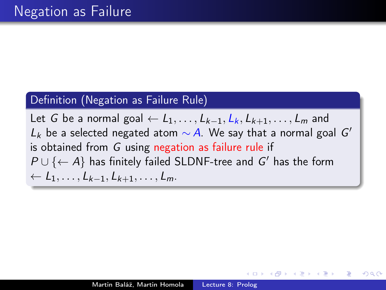#### Definition (Negation as Failure Rule)

Let G be a normal goal  $\leftarrow$   $L_1, \ldots, L_{k-1}, L_k, L_{k+1}, \ldots, L_m$  and  $L_k$  be a selected negated atom  $\sim$  A. We say that a normal goal  $G'$ is obtained from G using negation as failure rule if  $P \cup \{\leftarrow A\}$  has finitely failed SLDNF-tree and  $G'$  has the form ← L1, . . . , Lk−1, Lk+1, . . . , Lm.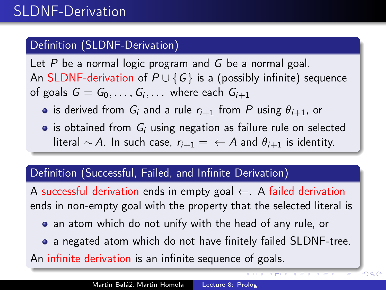## Definition (SLDNF-Derivation)

Let  $P$  be a normal logic program and  $G$  be a normal goal. An SLDNF-derivation of  $P \cup \{G\}$  is a (possibly infinite) sequence of goals  $G=G_0,\ldots,G_i,\ldots$  where each  $G_{i+1}$ 

- is derived from  $G_i$  and a rule  $r_{i+1}$  from P using  $\theta_{i+1}$ , or
- $\bullet$  is obtained from  $G_i$  using negation as failure rule on selected literal ∼ A. In such case,  $r_{i+1} = \leftarrow A$  and  $\theta_{i+1}$  is identity.

#### Definition (Successful, Failed, and Infinite Derivation)

A successful derivation ends in empty goal  $\leftarrow$ . A failed derivation ends in non-empty goal with the property that the selected literal is

- an atom which do not unify with the head of any rule, or
- a negated atom which do not have finitely failed SLDNF-tree.

 $299$ 

An infinite derivation is an infinite sequence of goals.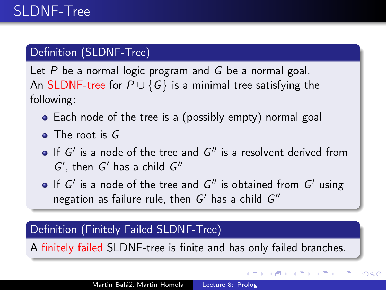## Definition (SLDNF-Tree)

Let  $P$  be a normal logic program and  $G$  be a normal goal. An SLDNF-tree for  $P \cup \{G\}$  is a minimal tree satisfying the following:

- Each node of the tree is a (possibly empty) normal goal
- The root is G
- If  $G'$  is a node of the tree and  $G''$  is a resolvent derived from  $G'$ , then  $G'$  has a child  $G''$
- If  $G'$  is a node of the tree and  $G''$  is obtained from  $G'$  using negation as failure rule, then  $G'$  has a child  $G''$

## Definition (Finitely Failed SLDNF-Tree)

A finitely failed SLDNF-tree is finite and has only failed branches.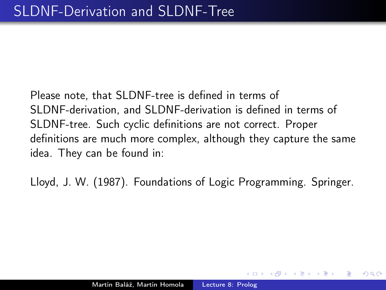Please note, that SLDNF-tree is defined in terms of SLDNF-derivation, and SLDNF-derivation is defined in terms of SLDNF-tree. Such cyclic definitions are not correct. Proper definitions are much more complex, although they capture the same idea. They can be found in:

Lloyd, J. W. (1987). Foundations of Logic Programming. Springer.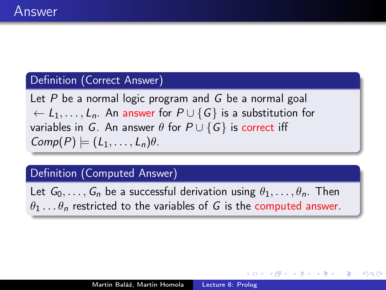#### Definition (Correct Answer)

Let  $P$  be a normal logic program and  $G$  be a normal goal  $\leftarrow L_1, \ldots, L_n$ . An answer for  $P \cup \{G\}$  is a substitution for variables in G. An answer  $\theta$  for  $P \cup \{G\}$  is correct iff  $Comp(P) \models (L_1, \ldots, L_n)\theta.$ 

#### Definition (Computed Answer)

Let  $G_0, \ldots, G_n$  be a successful derivation using  $\theta_1, \ldots, \theta_n$ . Then  $\theta_1 \ldots \theta_n$  restricted to the variables of G is the computed answer.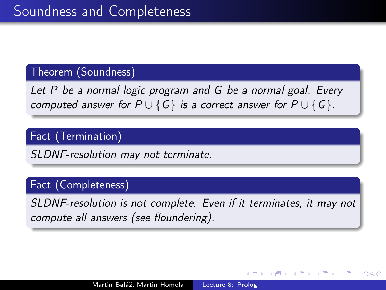#### Theorem (Soundness)

Let P be a normal logic program and G be a normal goal. Every computed answer for  $P \cup \{G\}$  is a correct answer for  $P \cup \{G\}$ .

## Fact (Termination)

SLDNF-resolution may not terminate.

#### Fact (Completeness)

SLDNF-resolution is not complete. Even if it terminates, it may not compute all answers (see floundering).

つくへ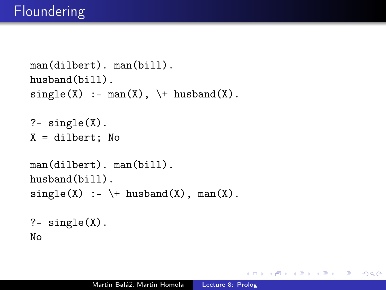```
man(dilbert). man(bill).
husband(bill).
single(X) :- man(X), \ + husband(X).
? - single(X).
X = \text{dilbert}; No
man(dilbert). man(bill).
husband(bill).
single(X) :- \ + husband(X), man(X).
?- single(X).
No
```
 $2990$ 

э

医尿道下的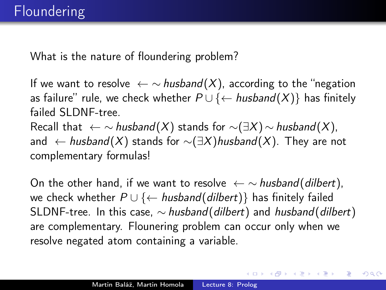What is the nature of floundering problem?

If we want to resolve  $\leftarrow \sim$  husband(X), according to the "negation as failure" rule, we check whether  $P \cup \{\leftarrow \text{husband}(X)\}$  has finitely failed SLDNF-tree

Recall that  $\leftarrow \sim$  husband(X) stands for  $\sim$ ( $\exists X$ )  $\sim$  husband(X), and ← husband(X) stands for  $\sim(\exists X)$ husband(X). They are not complementary formulas!

On the other hand, if we want to resolve  $\leftarrow \sim$  husband(dilbert), we check whether  $P \cup \{\leftarrow \text{husband}(\text{dilbert})\}$  has finitely failed SLDNF-tree. In this case,  $\sim$  husband(dilbert) and husband(dilbert) are complementary. Flounering problem can occur only when we resolve negated atom containing a variable.

 $\langle \langle \langle \langle \overline{q} \rangle \rangle \rangle \rangle$  (  $\langle \langle \rangle \rangle \rangle$  ) (  $\langle \rangle \rangle \rangle$  )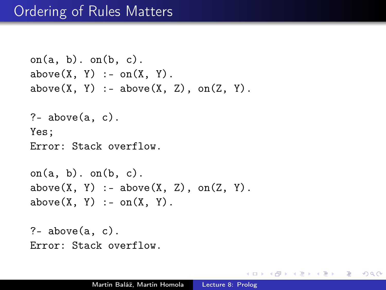```
on(a, b). on(b, c).
above(X, Y) := on(X, Y).
above(X, Y): - above(X, Z), on(Z, Y).
?- above(a, c).
Yes;
Error: Stack overflow.
on(a, b). on(b, c).
above(X, Y): - above(X, Z), on(Z, Y).
above(X, Y) := on(X, Y).
?- above(a, c).
```
Error: Stack overflow.

 $\Omega$